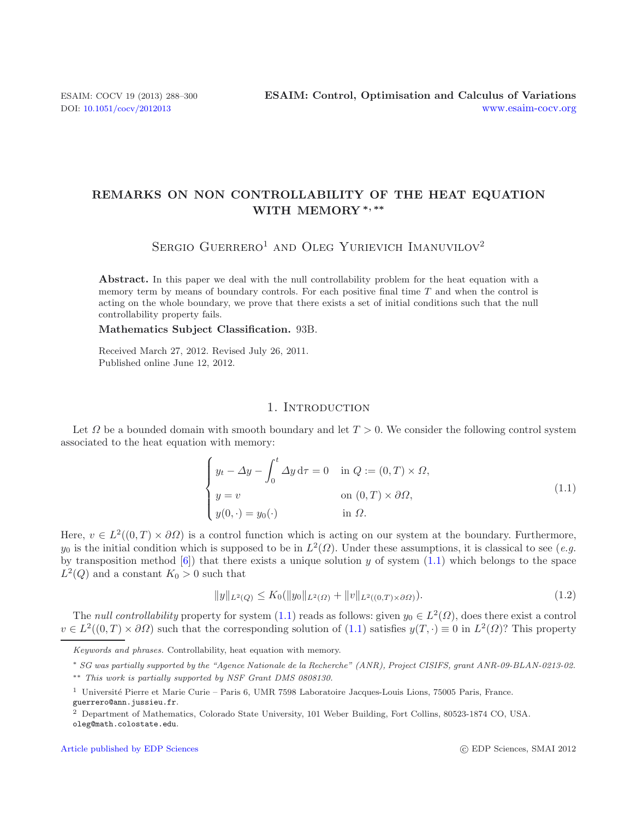# **REMARKS ON NON CONTROLLABILITY OF THE HEAT EQUATION WITH MEMORY** *∗, ∗∗*

<span id="page-0-0"></span>SERGIO GUERRERO<sup>1</sup> AND OLEG YURIEVICH IMANUVILOV<sup>2</sup>

**Abstract.** In this paper we deal with the null controllability problem for the heat equation with a memory term by means of boundary controls. For each positive final time *T* and when the control is acting on the whole boundary, we prove that there exists a set of initial conditions such that the null controllability property fails.

**Mathematics Subject Classification.** 93B.

Received March 27, 2012. Revised July 26, 2011. Published online June 12, 2012.

### 1. INTRODUCTION

Let  $\Omega$  be a bounded domain with smooth boundary and let  $T > 0$ . We consider the following control system associated to the heat equation with memory:

$$
\begin{cases}\n y_t - \Delta y - \int_0^t \Delta y \, d\tau = 0 & \text{in } Q := (0, T) \times \Omega, \\
 y = v & \text{on } (0, T) \times \partial \Omega, \\
 y(0, \cdot) = y_0(\cdot) & \text{in } \Omega.\n\end{cases}
$$
\n(1.1)

Here,  $v \in L^2((0,T) \times \partial \Omega)$  is a control function which is acting on our system at the boundary. Furthermore,  $y_0$  is the initial condition which is supposed to be in  $L^2(\Omega)$ . Under these assumptions, it is classical to see (*e.g.*) by transposition method  $[6]$ ) that there exists a unique solution y of system  $(1.1)$  which belongs to the space  $L^2(Q)$  and a constant  $K_0 > 0$  such that

$$
||y||_{L^{2}(Q)} \leq K_{0}(||y_{0}||_{L^{2}(\Omega)} + ||v||_{L^{2}((0,T)\times\partial\Omega)}).
$$
\n(1.2)

The *null controllability* property for system [\(1.1\)](#page-0-0) reads as follows: given  $y_0 \in L^2(\Omega)$ , does there exist a control  $v \in L^2((0,T) \times \partial \Omega)$  such that the corresponding solution of  $(1.1)$  satisfies  $y(T, \cdot) \equiv 0$  in  $L^2(\Omega)$ ? This property

Keywords and phrases. Controllability, heat equation with memory.

<sup>∗</sup> SG was partially supported by the "Agence Nationale de la Recherche" (ANR), Project CISIFS, grant ANR-09-BLAN-0213-02. ∗∗ This work is partially supported by NSF Grant DMS 0808130.

<sup>&</sup>lt;sup>1</sup> Université Pierre et Marie Curie – Paris 6, UMR 7598 Laboratoire Jacques-Louis Lions, 75005 Paris, France. guerrero@ann.jussieu.fr.

<sup>2</sup> Department of Mathematics, Colorado State University, 101 Weber Building, Fort Collins, 80523-1874 CO, USA. oleg@math.colostate.edu.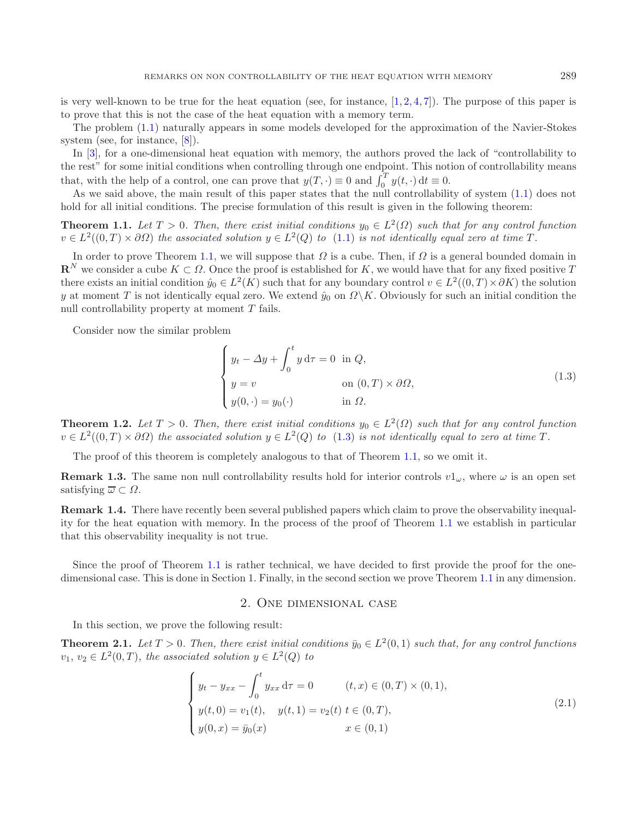is very well-known to be true for the heat equation (see, for instance,  $[1, 2, 4, 7]$  $[1, 2, 4, 7]$  $[1, 2, 4, 7]$  $[1, 2, 4, 7]$  $[1, 2, 4, 7]$  $[1, 2, 4, 7]$  $[1, 2, 4, 7]$ ). The purpose of this paper is to prove that this is not the case of the heat equation with a memory term.

The problem [\(1.1\)](#page-0-0) naturally appears in some models developed for the approximation of the Navier-Stokes system (see, for instance, [\[8](#page-12-5)]).

<span id="page-1-1"></span>In [\[3\]](#page-12-6), for a one-dimensional heat equation with memory, the authors proved the lack of "controllability to the rest" for some initial conditions when controlling through one endpoint. This notion of controllability means that, with the help of a control, one can prove that  $y(T, \cdot) \equiv 0$  and  $\int_0^T y(t, \cdot) dt \equiv 0$ .<br>As we said above, the main result of this paper states that the null controllability of system [\(1.1\)](#page-0-0) does not

hold for all initial conditions. The precise formulation of this result is given in the following theorem:

**Theorem 1.1.** *Let*  $T > 0$ *. Then, there exist initial conditions*  $y_0 \in L^2(\Omega)$  *such that for any control function*  $v \in L^2((0,T) \times \partial \Omega)$  the associated solution  $y \in L^2(Q)$  to [\(1.1\)](#page-0-0) is not identically equal zero at time T.

In order to prove Theorem [1.1,](#page-1-0) we will suppose that  $\Omega$  is a cube. Then, if  $\Omega$  is a general bounded domain in  $\mathbf{R}^N$  we consider a cube  $K \subset \Omega$ . Once the proof is established for K, we would have that for any fixed positive T there exists an initial condition  $\hat{y}_0 \in L^2(K)$  such that for any boundary control  $v \in L^2((0,T) \times \partial K)$  the solution y at moment T is not identically equal zero. We extend  $\hat{y}_0$  on  $\Omega \backslash K$ . Obviously for such an initial condition the null controllability property at moment T fails.

Consider now the similar problem

<span id="page-1-3"></span><span id="page-1-0"></span>
$$
\begin{cases}\n y_t - \Delta y + \int_0^t y \, d\tau = 0 \text{ in } Q, \\
 y = v \quad \text{on } (0, T) \times \partial \Omega, \\
 y(0, \cdot) = y_0(\cdot) \quad \text{in } \Omega.\n\end{cases}
$$
\n(1.3)

**Theorem 1.2.** *Let*  $T > 0$ *. Then, there exist initial conditions*  $y_0 \in L^2(\Omega)$  *such that for any control function*  $v \in L^2((0,T) \times \partial \Omega)$  the associated solution  $y \in L^2(Q)$  to [\(1.3\)](#page-1-1) is not identically equal to zero at time T.

The proof of this theorem is completely analogous to that of Theorem [1.1,](#page-1-0) so we omit it.

**Remark 1.3.** The same non null controllability results hold for interior controls  $v1<sub>\omega</sub>$ , where  $\omega$  is an open set satisfying  $\overline{\omega} \subset \Omega$ .

**Remark 1.4.** There have recently been several published papers which claim to prove the observability inequality for the heat equation with memory. In the process of the proof of Theorem [1.1](#page-1-0) we establish in particular that this observability inequality is not true.

Since the proof of Theorem [1.1](#page-1-0) is rather technical, we have decided to first provide the proof for the onedimensional case. This is done in Section 1. Finally, in the second section we prove Theorem [1.1](#page-1-0) in any dimension.

### <span id="page-1-2"></span>2. One dimensional case

In this section, we prove the following result:

**Theorem 2.1.** *Let*  $T > 0$ *. Then, there exist initial conditions*  $\bar{y}_0 \in L^2(0,1)$  *such that, for any control functions*  $v_1, v_2 \in L^2(0,T)$ , the associated solution  $y \in L^2(Q)$  to

$$
\begin{cases}\ny_t - y_{xx} - \int_0^t y_{xx} d\tau = 0 & (t, x) \in (0, T) \times (0, 1), \\
y(t, 0) = v_1(t), & y(t, 1) = v_2(t) \ t \in (0, T), \\
y(0, x) = \bar{y}_0(x) & x \in (0, 1)\n\end{cases}
$$
\n(2.1)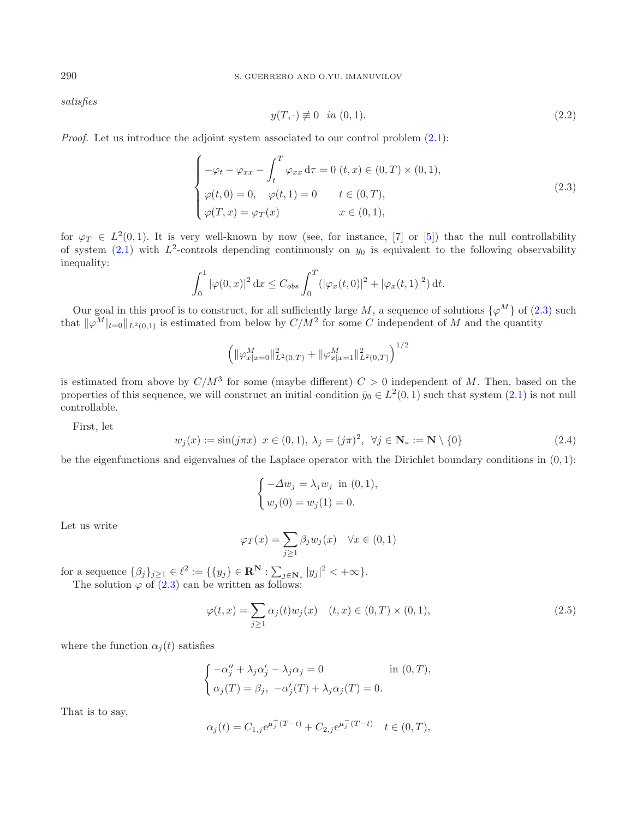*satisfies*

<span id="page-2-0"></span>
$$
y(T, \cdot) \neq 0 \quad \text{in } (0, 1). \tag{2.2}
$$

*Proof.* Let us introduce the adjoint system associated to our control problem  $(2.1)$ :

$$
\begin{cases}\n-\varphi_t - \varphi_{xx} - \int_t^T \varphi_{xx} d\tau = 0 \ (t, x) \in (0, T) \times (0, 1), \\
\varphi(t, 0) = 0, \quad \varphi(t, 1) = 0 \qquad t \in (0, T), \\
\varphi(T, x) = \varphi_T(x) \qquad x \in (0, 1),\n\end{cases}
$$
\n(2.3)

<span id="page-2-1"></span>for  $\varphi_T \in L^2(0,1)$ . It is very well-known by now (see, for instance, [\[7\]](#page-12-4) or [\[5\]](#page-12-7)) that the null controllability of system  $(2.1)$  with  $L^2$ -controls depending continuously on  $y_0$  is equivalent to the following observability inequality:

$$
\int_0^1 |\varphi(0, x)|^2 dx \le C_{obs} \int_0^T (|\varphi_x(t, 0)|^2 + |\varphi_x(t, 1)|^2) dt.
$$

Our goal in this proof is to construct, for all sufficiently large M, a sequence of solutions  $\{\varphi^M\}$  of [\(2.3\)](#page-2-0) such at  $\|\varphi^M\|$ , all zequent of  $M$  and the quantity that  $\|\varphi^M\|_{t=0}\|_{L^2(0,1)}$  is estimated from below by  $C/M^2$  for some C independent of M and the quantity

$$
\left(\|\varphi^M_{x|x=0}\|^2_{L^2(0,T)}+\|\varphi^M_{x|x=1}\|^2_{L^2(0,T)}\right)^{1/2}
$$

is estimated from above by  $C/M^3$  for some (maybe different)  $C > 0$  independent of M. Then, based on the properties of this sequence, we will construct an initial condition  $\bar{y}_0 \in L^2(0, 1)$  such that system  $(2.1)$  is not null controllable.

First, let

<span id="page-2-2"></span>
$$
w_j(x) := \sin(j\pi x) \ x \in (0, 1), \ \lambda_j = (j\pi)^2, \ \forall j \in \mathbf{N}_* := \mathbf{N} \setminus \{0\}
$$
 (2.4)

be the eigenfunctions and eigenvalues of the Laplace operator with the Dirichlet boundary conditions in  $(0, 1)$ :

$$
\begin{cases}\n-\Delta w_j = \lambda_j w_j \text{ in } (0,1), \\
w_j(0) = w_j(1) = 0.\n\end{cases}
$$

Let us write

$$
\varphi_T(x) = \sum_{j \ge 1} \beta_j w_j(x) \quad \forall x \in (0, 1)
$$

for a sequence  $\{\beta_j\}_{j\geq 1} \in \ell^2 := \{\{y_j\} \in \mathbb{R}^N : \sum_{j \in \mathbb{N}_*} |y_j|^2 < +\infty\}.$ <br>The solution (a of (2.3) can be written as follows: The solution  $\varphi$  of [\(2.3\)](#page-2-0) can be written as follows:

$$
\varphi(t,x) = \sum_{j\geq 1} \alpha_j(t) w_j(x) \quad (t,x) \in (0,T) \times (0,1), \tag{2.5}
$$

where the function  $\alpha_i(t)$  satisfies

$$
\begin{cases}\n-\alpha_j'' + \lambda_j \alpha_j' - \lambda_j \alpha_j = 0 & \text{in } (0, T), \\
\alpha_j(T) = \beta_j, \ -\alpha_j'(T) + \lambda_j \alpha_j(T) = 0.\n\end{cases}
$$

That is to say,

$$
\alpha_j(t) = C_{1,j} e^{\mu_j^+(T-t)} + C_{2,j} e^{\mu_j^-(T-t)} \quad t \in (0,T),
$$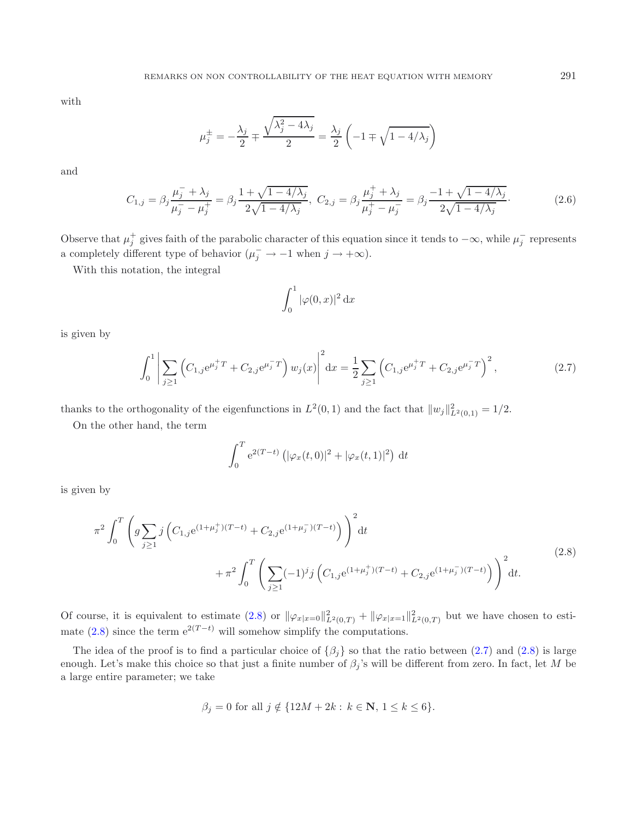<span id="page-3-2"></span>with

$$
\mu_j^{\pm} = -\frac{\lambda_j}{2} \mp \frac{\sqrt{\lambda_j^2 - 4\lambda_j}}{2} = \frac{\lambda_j}{2} \left( -1 \mp \sqrt{1 - 4/\lambda_j} \right)
$$

<span id="page-3-1"></span>and

$$
C_{1,j} = \beta_j \frac{\mu_j^- + \lambda_j}{\mu_j^- - \mu_j^+} = \beta_j \frac{1 + \sqrt{1 - 4/\lambda_j}}{2\sqrt{1 - 4/\lambda_j}}, \ C_{2,j} = \beta_j \frac{\mu_j^+ + \lambda_j}{\mu_j^+ - \mu_j^-} = \beta_j \frac{-1 + \sqrt{1 - 4/\lambda_j}}{2\sqrt{1 - 4/\lambda_j}}.
$$
 (2.6)

Observe that  $\mu_j^+$  gives faith of the parabolic character of this equation since it tends to  $-\infty$ , while  $\mu_j^-$  represents a completely different type of behavior  $(\mu_j^- \to -1$  when  $j \to +\infty)$ .

With this notation, the integral

$$
\int_0^1 |\varphi(0, x)|^2 \, \mathrm{d}x
$$

<span id="page-3-0"></span>is given by

$$
\int_0^1 \left| \sum_{j\geq 1} \left( C_{1,j} e^{\mu_j^+ T} + C_{2,j} e^{\mu_j^- T} \right) w_j(x) \right|^2 dx = \frac{1}{2} \sum_{j\geq 1} \left( C_{1,j} e^{\mu_j^+ T} + C_{2,j} e^{\mu_j^- T} \right)^2, \tag{2.7}
$$

thanks to the orthogonality of the eigenfunctions in  $L^2(0,1)$  and the fact that  $||w_j||^2_{L^2(0,1)} = 1/2$ .

On the other hand, the term

$$
\int_0^T e^{2(T-t)} \left( |\varphi_x(t,0)|^2 + |\varphi_x(t,1)|^2 \right) dt
$$

is given by

$$
\pi^{2} \int_{0}^{T} \left( g \sum_{j\geq 1} j \left( C_{1,j} e^{(1+\mu_{j}^{+})(T-t)} + C_{2,j} e^{(1+\mu_{j}^{-})(T-t)} \right) \right)^{2} dt + \pi^{2} \int_{0}^{T} \left( \sum_{j\geq 1} (-1)^{j} j \left( C_{1,j} e^{(1+\mu_{j}^{+})(T-t)} + C_{2,j} e^{(1+\mu_{j}^{-})(T-t)} \right) \right)^{2} dt.
$$
\n(2.8)

Of course, it is equivalent to estimate [\(2.8\)](#page-3-0) or  $\|\varphi_{x|x=0}\|_{L^2(0,T)}^2 + \|\varphi_{x|x=1}\|_{L^2(0,T)}^2$  but we have chosen to esti-mate [\(2.8\)](#page-3-0) since the term  $e^{2(T-t)}$  will somehow simplify the computations.

The idea of the proof is to find a particular choice of  $\{\beta_j\}$  so that the ratio between [\(2.7\)](#page-3-1) and [\(2.8\)](#page-3-0) is large enough. Let's make this choice so that just a finite number of  $\beta_j$ 's will be different from zero. In fact, let M be a large entire parameter; we take

$$
\beta_j = 0
$$
 for all  $j \notin \{12M + 2k : k \in \mathbb{N}, 1 \le k \le 6\}.$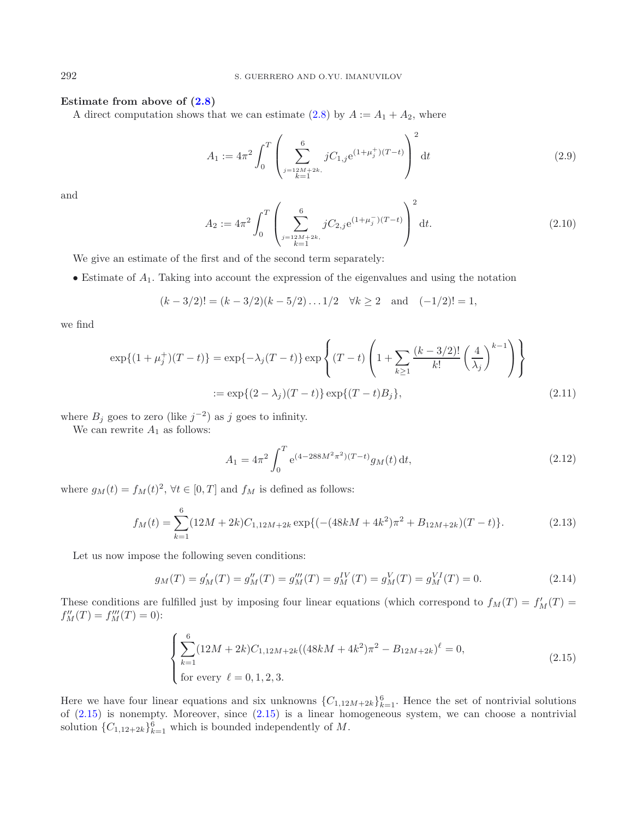## **Estimate from above of [\(2.8\)](#page-3-0)**

A direct computation shows that we can estimate  $(2.8)$  by  $A := A_1 + A_2$ , where

$$
A_1 := 4\pi^2 \int_0^T \left( \sum_{\substack{j=12M+2k,\\k=1}}^6 jC_{1,j} e^{(1+\mu_j^+)(T-t)} \right)^2 dt
$$
 (2.9)

and

$$
A_2 := 4\pi^2 \int_0^T \left( \sum_{\substack{j=12M+2k,\\k=1}}^6 jC_{2,j} e^{(1+\mu_j^-)(T-t)} \right)^2 dt.
$$
 (2.10)

We give an estimate of the first and of the second term separately:

• Estimate of  $A_1$ . Taking into account the expression of the eigenvalues and using the notation

<span id="page-4-2"></span>
$$
(k-3/2)! = (k-3/2)(k-5/2)...1/2 \quad \forall k \ge 2 \quad \text{and} \quad (-1/2)! = 1,
$$

we find

$$
\exp\{(1+\mu_j^+)(T-t)\} = \exp\{-\lambda_j(T-t)\} \exp\left\{(T-t)\left(1+\sum_{k\geq 1} \frac{(k-3/2)!}{k!} \left(\frac{4}{\lambda_j}\right)^{k-1}\right)\right\}
$$
  
:= 
$$
\exp\{(2-\lambda_j)(T-t)\} \exp\{(T-t)B_j\},
$$
 (2.11)

where  $B_j$  goes to zero (like  $j^{-2}$ ) as j goes to infinity.

<span id="page-4-0"></span>We can rewrite  $A_1$  as follows:

<span id="page-4-1"></span>
$$
A_1 = 4\pi^2 \int_0^T e^{(4-288M^2\pi^2)(T-t)} g_M(t) dt,
$$
\n(2.12)

where  $g_M(t) = f_M(t)^2$ ,  $\forall t \in [0, T]$  and  $f_M$  is defined as follows:

$$
f_M(t) = \sum_{k=1}^{6} (12M + 2k)C_{1,12M+2k} \exp\{(-(48kM + 4k^2)\pi^2 + B_{12M+2k})(T - t)\}.
$$
 (2.13)

Let us now impose the following seven conditions:

$$
g_M(T) = g'_M(T) = g''_M(T) = g'''_M(T) = g^IV_M(T) = g^V_M(T) = g^V_M(T) = 0.
$$
\n(2.14)

These conditions are fulfilled just by imposing four linear equations (which correspond to  $f_M(T) = f'_M(T)$  =  $f''(T) - f'''(T) - 0$ ).  $f''_M(T) = f'''_M(T) = 0$ :

$$
\begin{cases} \sum_{k=1}^{6} (12M + 2k)C_{1,12M+2k}((48kM + 4k^2)\pi^2 - B_{12M+2k})^{\ell} = 0, \\ \text{for every } \ell = 0, 1, 2, 3. \end{cases}
$$
(2.15)

Here we have four linear equations and six unknowns  ${C_{1,12M+2k}}_{k=1}^6$ . Hence the set of nontrivial solutions of (2.15) is nonempty. Moreover, since (2.15) is a linear homogenoous system, we can choose a nontrivial of  $(2.15)$  is nonempty. Moreover, since  $(2.15)$  is a linear homogeneous system, we can choose a nontrivial solution  ${C_{1,12+2k}}_{k=1}^6$  which is bounded independently of M.

<span id="page-4-3"></span>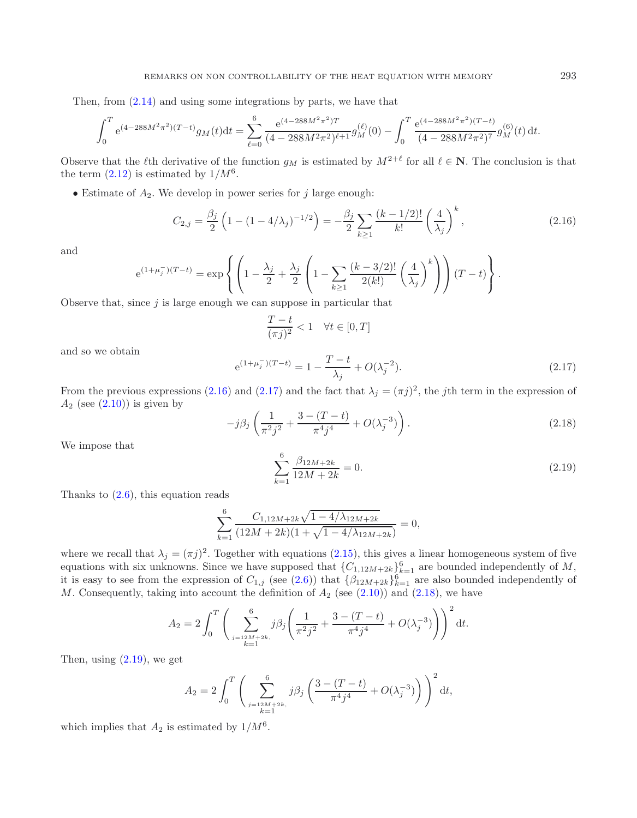Then, from [\(2.14\)](#page-4-1) and using some integrations by parts, we have that

<span id="page-5-0"></span>
$$
\int_0^T e^{(4-288M^2\pi^2)(T-t)} g_M(t) dt = \sum_{\ell=0}^6 \frac{e^{(4-288M^2\pi^2)T}}{(4-288M^2\pi^2)^{\ell+1}} g_M^{(\ell)}(0) - \int_0^T \frac{e^{(4-288M^2\pi^2)(T-t)}}{(4-288M^2\pi^2)^7} g_M^{(6)}(t) dt.
$$

Observe that the  $\ell$ th derivative of the function  $g_M$  is estimated by  $M^{2+\ell}$  for all  $\ell \in \mathbb{N}$ . The conclusion is that the term  $(2.12)$  is estimated by  $1/M^6$ .

<span id="page-5-1"></span>• Estimate of  $A_2$ . We develop in power series for j large enough:

$$
C_{2,j} = \frac{\beta_j}{2} \left( 1 - (1 - 4/\lambda_j)^{-1/2} \right) = -\frac{\beta_j}{2} \sum_{k \ge 1} \frac{(k - 1/2)!}{k!} \left( \frac{4}{\lambda_j} \right)^k,
$$
\n(2.16)

and

<span id="page-5-2"></span>
$$
e^{(1+\mu_j^-)(T-t)} = \exp\left\{ \left(1 - \frac{\lambda_j}{2} + \frac{\lambda_j}{2} \left(1 - \sum_{k\geq 1} \frac{(k-3/2)!}{2(k!)} \left(\frac{4}{\lambda_j}\right)^k\right)\right) (T-t)\right\}.
$$

<span id="page-5-3"></span>Observe that, since  $j$  is large enough we can suppose in particular that

$$
\frac{T-t}{(\pi j)^2} < 1 \quad \forall t \in [0, T]
$$

and so we obtain

$$
e^{(1+\mu_j^{-})(T-t)} = 1 - \frac{T-t}{\lambda_j} + O(\lambda_j^{-2}).
$$
\n(2.17)

From the previous expressions [\(2.16\)](#page-5-0) and [\(2.17\)](#page-5-1) and the fact that  $\lambda_j = (\pi j)^2$ , the jth term in the expression of  $A_2$  (see (2.10)) is given by  $A_2$  (see  $(2.10)$ ) is given by

$$
-j\beta_j \left(\frac{1}{\pi^2 j^2} + \frac{3 - (T - t)}{\pi^4 j^4} + O(\lambda_j^{-3})\right). \tag{2.18}
$$

We impose that

$$
\sum_{k=1}^{6} \frac{\beta_{12M+2k}}{12M+2k} = 0.
$$
\n(2.19)

Thanks to  $(2.6)$ , this equation reads

$$
\sum_{k=1}^{6} \frac{C_{1,12M+2k}\sqrt{1-4/\lambda_{12M+2k}}}{(12M+2k)(1+\sqrt{1-4/\lambda_{12M+2k}})} = 0,
$$

where we recall that  $\lambda_j = (\pi j)^2$ . Together with equations [\(2.15\)](#page-4-0), this gives a linear homogeneous system of five equations with six unknowns. Since we have supposed that  ${C_{1,12M+2k}}_{k=1}^6$  are bounded independently of M,<br>it is easy to see from the expression of  $C_{k-1}$  (see (2.6)) that  $f_{0,000}$  (6) are also bounded independent it is easy to see from the expression of  $C_{1,j}$  (see [\(2.6\)](#page-3-2)) that  $\{\beta_{12M+2k}\}_{k=1}^6$  are also bounded independently of M. Consequently taking into account the definition of  $A_2$  (see (2.10)) and (2.18), we have M. Consequently, taking into account the definition of  $A_2$  (see  $(2.10)$ ) and  $(2.18)$ , we have

$$
A_2 = 2 \int_0^T \left( \sum_{\substack{j=12M+2k, \\ k=1}}^6 j \beta_j \left( \frac{1}{\pi^2 j^2} + \frac{3 - (T - t)}{\pi^4 j^4} + O(\lambda_j^{-3}) \right) \right)^2 dt.
$$

Then, using  $(2.19)$ , we get

$$
A_2 = 2 \int_0^T \left( \sum_{\substack{j=12M+2k, \\ k=1}}^6 j \beta_j \left( \frac{3 - (T - t)}{\pi^4 j^4} + O(\lambda_j^{-3}) \right) \right)^2 dt,
$$

which implies that  $A_2$  is estimated by  $1/M^6$ .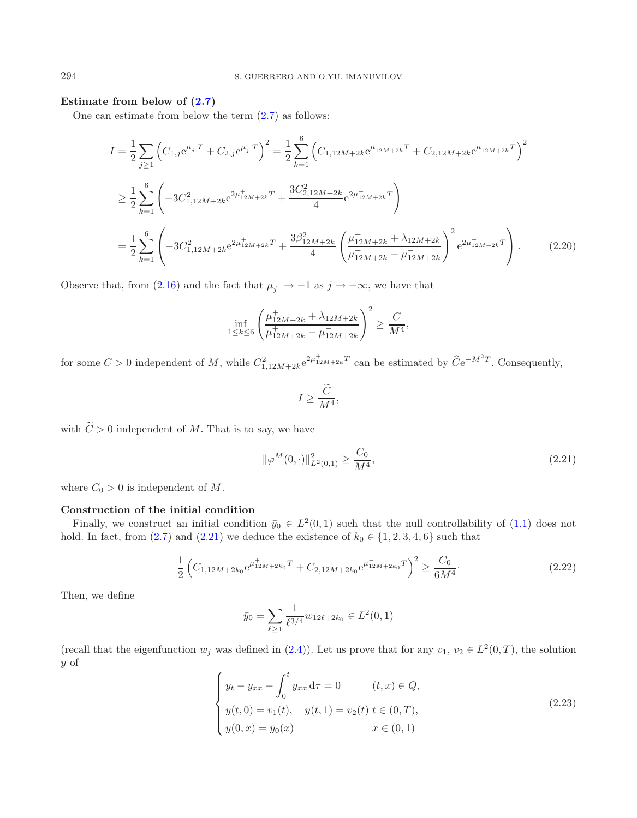# **Estimate from below of [\(2.7\)](#page-3-1)**

One can estimate from below the term [\(2.7\)](#page-3-1) as follows:

$$
I = \frac{1}{2} \sum_{j\geq 1} \left( C_{1,j} e^{\mu_j^+ T} + C_{2,j} e^{\mu_j^- T} \right)^2 = \frac{1}{2} \sum_{k=1}^6 \left( C_{1,12M+2k} e^{\mu_{12M+2k}^+ T} + C_{2,12M+2k} e^{\mu_{12M+2k}^- T} \right)^2
$$
  
\n
$$
\geq \frac{1}{2} \sum_{k=1}^6 \left( -3C_{1,12M+2k}^2 e^{2\mu_{12M+2k}^+ T} + \frac{3C_{2,12M+2k}^2}{4} e^{2\mu_{12M+2k}^- T} \right)
$$
  
\n
$$
= \frac{1}{2} \sum_{k=1}^6 \left( -3C_{1,12M+2k}^2 e^{2\mu_{12M+2k}^+ T} + \frac{3\beta_{12M+2k}^2}{4} \left( \frac{\mu_{12M+2k}^+ + \lambda_{12M+2k}^+}{\mu_{12M+2k}^+ - \mu_{12M+2k}^-} \right)^2 e^{2\mu_{12M+2k}^- T} \right). \tag{2.20}
$$

Observe that, from [\(2.16\)](#page-5-0) and the fact that  $\mu_j^- \to -1$  as  $j \to +\infty$ , we have that

<span id="page-6-0"></span>
$$
\inf_{1 \le k \le 6} \left( \frac{\mu_{12M+2k}^+ + \lambda_{12M+2k}}{\mu_{12M+2k}^+ - \mu_{12M+2k}^-} \right)^2 \ge \frac{C}{M^4},
$$

for some  $C > 0$  independent of M, while  $C_{1,12M+2k}^2 e^{2\mu_{12M+2k}^+T}$  can be estimated by  $\widehat{C}e^{-M^2T}$ . Consequently,

<span id="page-6-1"></span>
$$
I \ge \frac{\widetilde{C}}{M^4},
$$

with  $\widetilde{C} > 0$  independent of M. That is to say, we have

$$
\|\varphi^M(0,\cdot)\|_{L^2(0,1)}^2 \ge \frac{C_0}{M^4},\tag{2.21}
$$

where  $C_0 > 0$  is independent of M.

#### **Construction of the initial condition**

Finally, we construct an initial condition  $\bar{y}_0 \in L^2(0,1)$  such that the null controllability of  $(1.1)$  does not hold. In fact, from [\(2.7\)](#page-3-1) and [\(2.21\)](#page-6-0) we deduce the existence of  $k_0 \in \{1, 2, 3, 4, 6\}$  such that

$$
\frac{1}{2} \left( C_{1,12M+2k_0} e^{\mu_{12M+2k_0}^+ T} + C_{2,12M+2k_0} e^{\mu_{12M+2k_0}^- T} \right)^2 \ge \frac{C_0}{6M^4}.
$$
\n(2.22)

Then, we define

$$
\bar{y}_0 = \sum_{\ell \ge 1} \frac{1}{\ell^{3/4}} w_{12\ell + 2k_0} \in L^2(0, 1)
$$

(recall that the eigenfunction  $w_j$  was defined in [\(2.4\)](#page-2-1)). Let us prove that for any  $v_1, v_2 \in L^2(0,T)$ , the solution y of

$$
\begin{cases}\ny_t - y_{xx} - \int_0^t y_{xx} d\tau = 0 & (t, x) \in Q, \\
y(t, 0) = v_1(t), & y(t, 1) = v_2(t) \ t \in (0, T), \\
y(0, x) = \bar{y}_0(x) & x \in (0, 1)\n\end{cases}
$$
\n(2.23)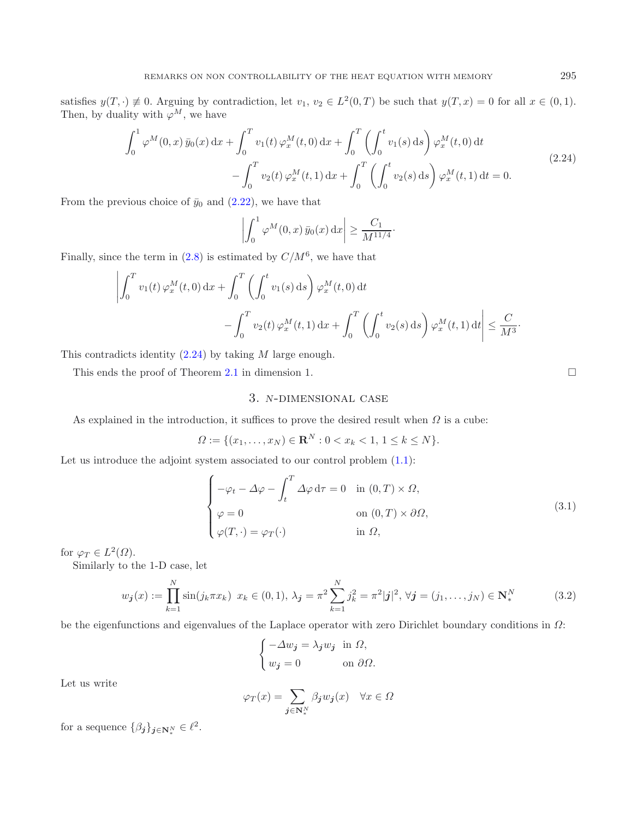<span id="page-7-0"></span>satisfies  $y(T, \cdot) \neq 0$ . Arguing by contradiction, let  $v_1, v_2 \in L^2(0,T)$  be such that  $y(T, x) = 0$  for all  $x \in (0,1)$ . Then, by duality with  $\varphi^M$ , we have

$$
\int_0^1 \varphi^M(0, x) \bar{y}_0(x) dx + \int_0^T v_1(t) \varphi_x^M(t, 0) dx + \int_0^T \left( \int_0^t v_1(s) ds \right) \varphi_x^M(t, 0) dt - \int_0^T v_2(t) \varphi_x^M(t, 1) dx + \int_0^T \left( \int_0^t v_2(s) ds \right) \varphi_x^M(t, 1) dt = 0.
$$
\n(2.24)

From the previous choice of  $\bar{y}_0$  and [\(2.22\)](#page-6-1), we have that

<span id="page-7-1"></span>
$$
\left| \int_0^1 \varphi^M(0, x) \,\overline{y}_0(x) \,\mathrm{d}x \right| \ge \frac{C_1}{M^{11/4}}.
$$

Finally, since the term in  $(2.8)$  is estimated by  $C/M^6$ , we have that

$$
\left| \int_0^T v_1(t) \, \varphi_x^M(t,0) \, dx + \int_0^T \left( \int_0^t v_1(s) \, ds \right) \varphi_x^M(t,0) \, dt - \int_0^T v_2(t) \, \varphi_x^M(t,1) \, dx + \int_0^T \left( \int_0^t v_2(s) \, ds \right) \varphi_x^M(t,1) \, dt \right| \le \frac{C}{M^3}.
$$

This contradicts identity [\(2.24\)](#page-7-0) by taking M large enough.

This ends the proof of Theorem [2.1](#page-1-3) in dimension 1.

# 3. *<sup>N</sup>*-dimensional case

<span id="page-7-2"></span>As explained in the introduction, it suffices to prove the desired result when  $\Omega$  is a cube:

 $\Omega := \{(x_1, \ldots, x_N) \in \mathbf{R}^N : 0 < x_k < 1, 1 \le k \le N\}.$ 

Let us introduce the adjoint system associated to our control problem  $(1.1)$ :

$$
\begin{cases}\n-\varphi_t - \Delta \varphi - \int_t^T \Delta \varphi \, d\tau = 0 & \text{in } (0, T) \times \Omega, \\
\varphi = 0 & \text{on } (0, T) \times \partial \Omega, \\
\varphi(T, \cdot) = \varphi_T(\cdot) & \text{in } \Omega,\n\end{cases}
$$
\n(3.1)

for  $\varphi_T \in L^2(\Omega)$ .

Similarly to the 1-D case, let

$$
w_{\mathbf{j}}(x) := \prod_{k=1}^{N} \sin(j_k \pi x_k) \ x_k \in (0,1), \ \lambda_{\mathbf{j}} = \pi^2 \sum_{k=1}^{N} j_k^2 = \pi^2 |\mathbf{j}|^2, \ \forall \mathbf{j} = (j_1, \dots, j_N) \in \mathbf{N}_*^N
$$
(3.2)

be the eigenfunctions and eigenvalues of the Laplace operator with zero Dirichlet boundary conditions in Ω:

$$
\begin{cases}\n-\Delta w_j = \lambda_j w_j & \text{in } \Omega, \\
w_j = 0 & \text{on } \partial \Omega.\n\end{cases}
$$

Let us write

$$
\varphi_T(x) = \sum_{\mathbf{j} \in \mathbf{N}_*^N} \beta_{\mathbf{j}} w_{\mathbf{j}}(x) \quad \forall x \in \Omega
$$

for a sequence  $\{\beta_j\}_{j \in \mathbb{N}^N_*} \in \ell^2$ .

 $\Box$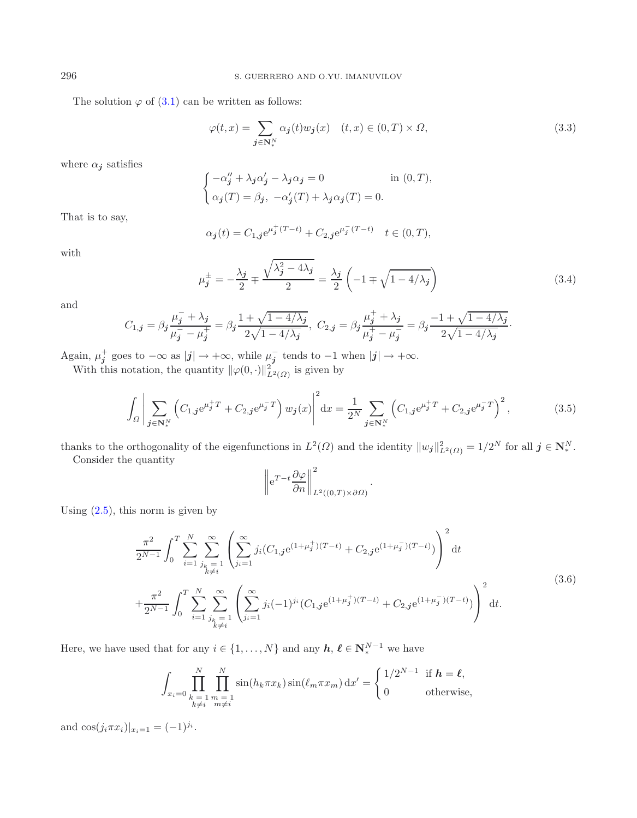The solution  $\varphi$  of [\(3.1\)](#page-7-1) can be written as follows:

$$
\varphi(t,x) = \sum_{\mathbf{j} \in \mathbf{N}_*^N} \alpha_{\mathbf{j}}(t) w_{\mathbf{j}}(x) \quad (t,x) \in (0,T) \times \Omega,
$$
\n(3.3)

where  $\alpha_{\boldsymbol{j}}$  satisfies

$$
\begin{cases}\n-\alpha_j'' + \lambda_j \alpha_j' - \lambda_j \alpha_j = 0 & \text{in } (0, T), \\
\alpha_j(T) = \beta_j, \ -\alpha_j'(T) + \lambda_j \alpha_j(T) = 0.\n\end{cases}
$$

That is to say,

<span id="page-8-1"></span>
$$
\alpha_{\bm{j}}(t) = C_{1,\bm{j}} e^{\mu_{\bm{j}}^{+}(T-t)} + C_{2,\bm{j}} e^{\mu_{\bm{j}}^{-}(T-t)} \quad t \in (0,T),
$$

with

$$
\mu_j^{\pm} = -\frac{\lambda_j}{2} \mp \frac{\sqrt{\lambda_j^2 - 4\lambda_j}}{2} = \frac{\lambda_j}{2} \left( -1 \mp \sqrt{1 - 4/\lambda_j} \right) \tag{3.4}
$$

and

$$
C_{1,\mathbf{j}} = \beta_{\mathbf{j}} \frac{\mu_{\mathbf{j}}^{-} + \lambda_{\mathbf{j}}}{\mu_{\mathbf{j}}^{-} - \mu_{\mathbf{j}}^{+}} = \beta_{\mathbf{j}} \frac{1 + \sqrt{1 - 4/\lambda_{\mathbf{j}}}}{2\sqrt{1 - 4/\lambda_{\mathbf{j}}}}, \ C_{2,\mathbf{j}} = \beta_{\mathbf{j}} \frac{\mu_{\mathbf{j}}^{+} + \lambda_{\mathbf{j}}}{\mu_{\mathbf{j}}^{+} - \mu_{\mathbf{j}}^{-}} = \beta_{\mathbf{j}} \frac{-1 + \sqrt{1 - 4/\lambda_{\mathbf{j}}}}{2\sqrt{1 - 4/\lambda_{\mathbf{j}}}}.
$$

Again,  $\mu_j^+$  goes to  $-\infty$  as  $|j| \to +\infty$ , while  $\mu_j^-$  tends to  $-1$  when  $|j| \to +\infty$ .

With this notation, the quantity  $\|\varphi(0, \cdot)\|_{L^2(\Omega)}^2$  is given by

$$
\int_{\Omega} \left| \sum_{\mathbf{j} \in \mathbf{N}_{*}^{N}} \left( C_{1,\mathbf{j}} e^{\mu_{\mathbf{j}}^{+}T} + C_{2,\mathbf{j}} e^{\mu_{\mathbf{j}}^{-}T} \right) w_{\mathbf{j}}(x) \right|^{2} dx = \frac{1}{2^{N}} \sum_{\mathbf{j} \in \mathbf{N}_{*}^{N}} \left( C_{1,\mathbf{j}} e^{\mu_{\mathbf{j}}^{+}T} + C_{2,\mathbf{j}} e^{\mu_{\mathbf{j}}^{-}T} \right)^{2}, \tag{3.5}
$$

thanks to the orthogonality of the eigenfunctions in  $L^2(\Omega)$  and the identity  $||w_j||^2_{L^2(\Omega)} = 1/2^N$  for all  $j \in \mathbb{N}^N_*$ .<br>Consider the quantity

Consider the quantity

$$
\left\| e^{T-t} \frac{\partial \varphi}{\partial n} \right\|_{L^2((0,T)\times \partial \Omega)}^2
$$

Using  $(2.5)$ , this norm is given by

$$
\frac{\pi^2}{2^{N-1}} \int_0^T \sum_{i=1}^N \sum_{\substack{j_k=1 \ j_k \neq i}}^{\infty} \left( \sum_{j_i=1}^{\infty} j_i (C_{1,j} e^{(1+\mu_j^+)(T-t)} + C_{2,j} e^{(1+\mu_j^-)(T-t)}) \right)^2 dt
$$
\n
$$
+ \frac{\pi^2}{2^{N-1}} \int_0^T \sum_{\substack{i=1 \ i_k \neq i}}^N \sum_{\substack{j_k=1 \ k \neq i}}^{\infty} \left( \sum_{j_i=1}^{\infty} j_i (-1)^{j_i} (C_{1,j} e^{(1+\mu_j^+)(T-t)} + C_{2,j} e^{(1+\mu_j^-)(T-t)}) \right)^2 dt.
$$
\n(3.6)

Here, we have used that for any  $i \in \{1, ..., N\}$  and any  $h, \ell \in \mathbb{N}_{*}^{N-1}$  we have

$$
\int_{x_i=0} \prod_{\substack{k=1 \ m \neq i}}^N \prod_{\substack{m=1 \ k \neq i}}^N \sin(h_k \pi x_k) \sin(\ell_m \pi x_m) dx' = \begin{cases} 1/2^{N-1} & \text{if } \mathbf{h} = \mathbf{\ell}, \\ 0 & \text{otherwise,} \end{cases}
$$

and  $\cos(j_i \pi x_i)|_{x_i=1} = (-1)^{j_i}$ .

<span id="page-8-0"></span>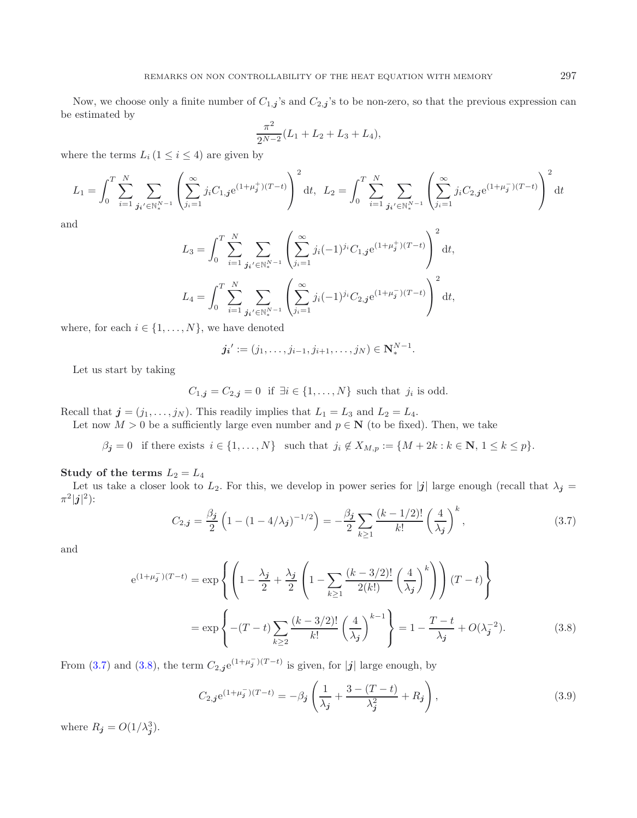Now, we choose only a finite number of  $C_{1,j}$ 's and  $C_{2,j}$ 's to be non-zero, so that the previous expression can be estimated by

$$
\frac{\pi^2}{2^{N-2}}(L_1 + L_2 + L_3 + L_4),
$$

where the terms  $L_i$  ( $1 \leq i \leq 4$ ) are given by

$$
L_1 = \int_0^T \sum_{i=1}^N \sum_{\mathbf{j_i}' \in \mathbb{N}_*^{N-1}} \left( \sum_{j_i=1}^\infty j_i C_{1,\mathbf{j}} e^{(1+\mu_\mathbf{j}^+)(T-t)} \right)^2 dt, \quad L_2 = \int_0^T \sum_{i=1}^N \sum_{\mathbf{j_i}' \in \mathbb{N}_*^{N-1}} \left( \sum_{j_i=1}^\infty j_i C_{2,\mathbf{j}} e^{(1+\mu_\mathbf{j}^-)(T-t)} \right)^2 dt
$$

and

$$
L_3 = \int_0^T \sum_{i=1}^N \sum_{\substack{j_i' \in \mathbb{N}_*^{N-1} \\ j_i' \in \mathbb{N}_*}} \left( \sum_{j_i=1}^\infty j_i (-1)^{j_i} C_{1,j} e^{(1+\mu_j^+)(T-t)} \right)^2 dt,
$$
  

$$
L_4 = \int_0^T \sum_{i=1}^N \sum_{\substack{j_i' \in \mathbb{N}_*^{N-1} \\ j_i = 1}} \left( \sum_{j_i=1}^\infty j_i (-1)^{j_i} C_{2,j} e^{(1+\mu_j^-)(T-t)} \right)^2 dt,
$$

<span id="page-9-0"></span>where, for each  $i \in \{1, \ldots, N\}$ , we have denoted

<span id="page-9-1"></span>
$$
j_i' := (j_1, \ldots, j_{i-1}, j_{i+1}, \ldots, j_N) \in \mathbb{N}_*^{N-1}.
$$

Let us start by taking

$$
C_{1,\boldsymbol{j}} = C_{2,\boldsymbol{j}} = 0 \text{ if } \exists i \in \{1,\ldots,N\} \text{ such that } j_i \text{ is odd.}
$$

Recall that  $\mathbf{j} = (j_1, \ldots, j_N)$ . This readily implies that  $L_1 = L_3$  and  $L_2 = L_4$ .

Let now  $M > 0$  be a sufficiently large even number and  $p \in \mathbb{N}$  (to be fixed). Then, we take

 $\beta_j = 0$  if there exists  $i \in \{1, ..., N\}$  such that  $j_i \notin X_{M,p} := \{M + 2k : k \in \mathbb{N}, 1 \leq k \leq p\}.$ 

### **Study of the terms**  $L_2 = L_4$

Let us take a closer look to  $L_2$ . For this, we develop in power series for  $|j|$  large enough (recall that  $\lambda_j =$  $\pi^2|j|^2)$ :

$$
C_{2,j} = \frac{\beta_j}{2} \left( 1 - (1 - 4/\lambda_j)^{-1/2} \right) = -\frac{\beta_j}{2} \sum_{k \ge 1} \frac{(k - 1/2)!}{k!} \left( \frac{4}{\lambda_j} \right)^k, \tag{3.7}
$$

and

$$
e^{(1+\mu_j^{-})(T-t)} = \exp\left\{ \left( 1 - \frac{\lambda_j}{2} + \frac{\lambda_j}{2} \left( 1 - \sum_{k \ge 1} \frac{(k-3/2)!}{2(k!)} \left( \frac{4}{\lambda_j} \right)^k \right) \right) (T-t) \right\}
$$

$$
= \exp\left\{ -(T-t) \sum_{k \ge 2} \frac{(k-3/2)!}{k!} \left( \frac{4}{\lambda_j} \right)^{k-1} \right\} = 1 - \frac{T-t}{\lambda_j} + O(\lambda_j^{-2}). \tag{3.8}
$$

From [\(3.7\)](#page-9-0) and [\(3.8\)](#page-9-1), the term  $C_{2,j}e^{(1+\mu_j^{-})}(T-t)$  is given, for  $|j|$  large enough, by

$$
C_{2,j}e^{(1+\mu_j^-)(T-t)} = -\beta_j \left(\frac{1}{\lambda_j} + \frac{3 - (T-t)}{\lambda_j^2} + R_j\right),\tag{3.9}
$$

where  $R_{\boldsymbol{j}} = O(1/\lambda_{\boldsymbol{j}}^3)$ .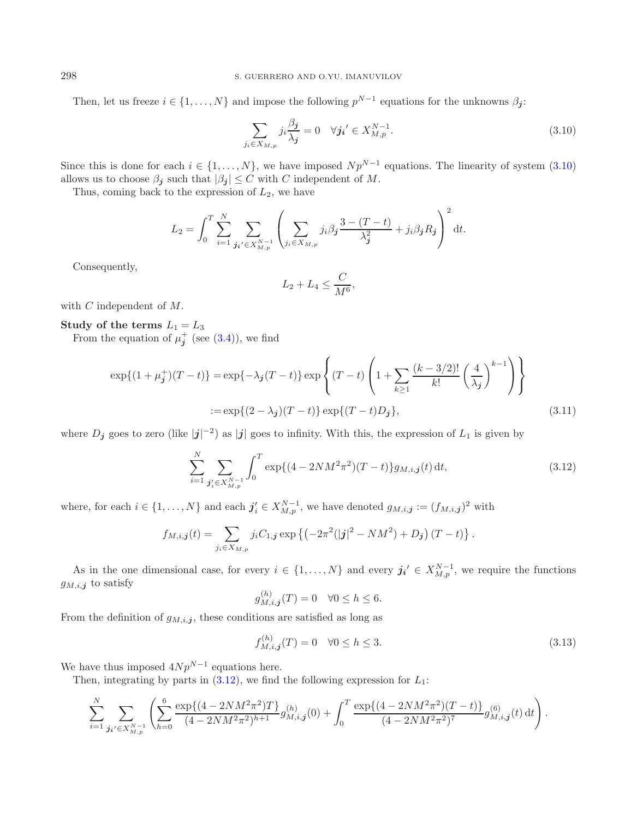Then, let us freeze  $i \in \{1, ..., N\}$  and impose the following  $p^{N-1}$  equations for the unknowns  $\beta_i$ :

<span id="page-10-0"></span>
$$
\sum_{j_i \in X_{M,p}} j_i \frac{\beta_j}{\lambda_j} = 0 \quad \forall j_i' \in X_{M,p}^{N-1}.
$$
\n(3.10)

Since this is done for each  $i \in \{1,\ldots,N\}$ , we have imposed  $Np^{N-1}$  equations. The linearity of system  $(3.10)$ allows us to choose  $\beta_j$  such that  $|\beta_j| \leq C$  with C independent of M.

Thus, coming back to the expression of  $L_2$ , we have

$$
L_2 = \int_0^T \sum_{i=1}^N \sum_{\substack{j_i' \in X_{M,p}^{N-1} \\ j_i \in X_{M,p}}} \left( \sum_{j_i \in X_{M,p}} j_i \beta_j \frac{3 - (T - t)}{\lambda_j^2} + j_i \beta_j R_j \right)^2 dt.
$$

Consequently,

<span id="page-10-1"></span>
$$
L_2 + L_4 \le \frac{C}{M^6},
$$

with C independent of M.

**Study of the terms**  $L_1 = L_3$ From the equation of  $\mu_j^+$  (see [\(3.4\)](#page-8-0)), we find

$$
\exp\{(1+\mu_j^+)(T-t)\} = \exp\{-\lambda_j(T-t)\} \exp\left\{(T-t)\left(1+\sum_{k\geq 1} \frac{(k-3/2)!}{k!} \left(\frac{4}{\lambda_j}\right)^{k-1}\right)\right\}
$$
  
:= 
$$
\exp\{(2-\lambda_j)(T-t)\} \exp\{(T-t)D_j\},
$$
 (3.11)

where  $D_j$  goes to zero (like  $|j|^{-2}$ ) as  $|j|$  goes to infinity. With this, the expression of  $L_1$  is given by

$$
\sum_{i=1}^{N} \sum_{\substack{j'_i \in X_{M,p}^{N-1}}} \int_0^T \exp\{(4 - 2NM^2\pi^2)(T-t)\} g_{M,i,j}(t) \, \mathrm{d}t,\tag{3.12}
$$

where, for each  $i \in \{1, ..., N\}$  and each  $j'_i \in X^{N-1}_{M,p}$ , we have denoted  $g_{M,i,j} := (f_{M,i,j})^2$  with

$$
f_{M,i,j}(t) = \sum_{j_i \in X_{M,p}} j_i C_{1,j} \exp \left\{ \left( -2\pi^2 (|j|^2 - NM^2) + D_j \right) (T - t) \right\}.
$$

As in the one dimensional case, for every  $i \in \{1, ..., N\}$  and every  $j_i' \in X_{M,p}^{N-1}$ , we require the functions  $g_{M,i,j}$  to satisfy

$$
g_{M,i,j}^{(h)}(T) = 0 \quad \forall 0 \le h \le 6.
$$

From the definition of  $g_{M,i,j}$ , these conditions are satisfied as long as

$$
f_{M,i,j}^{(h)}(T) = 0 \quad \forall 0 \le h \le 3. \tag{3.13}
$$

We have thus imposed  $4Np^{N-1}$  equations here.

Then, integrating by parts in  $(3.12)$ , we find the following expression for  $L_1$ :

$$
\sum_{i=1}^{N} \sum_{\boldsymbol{j_i'} \in X^{N-1}_{M,p}} \left( \sum_{h=0}^{6} \frac{\exp\{(4-2NM^2\pi^2)T\}}{(4-2NM^2\pi^2)^{h+1}} g_{M,i,\boldsymbol{j}}^{(h)}(0) + \int_0^T \frac{\exp\{(4-2NM^2\pi^2)(T-t)\}}{(4-2NM^2\pi^2)^7} g_{M,i,\boldsymbol{j}}^{(6)}(t) dt \right).
$$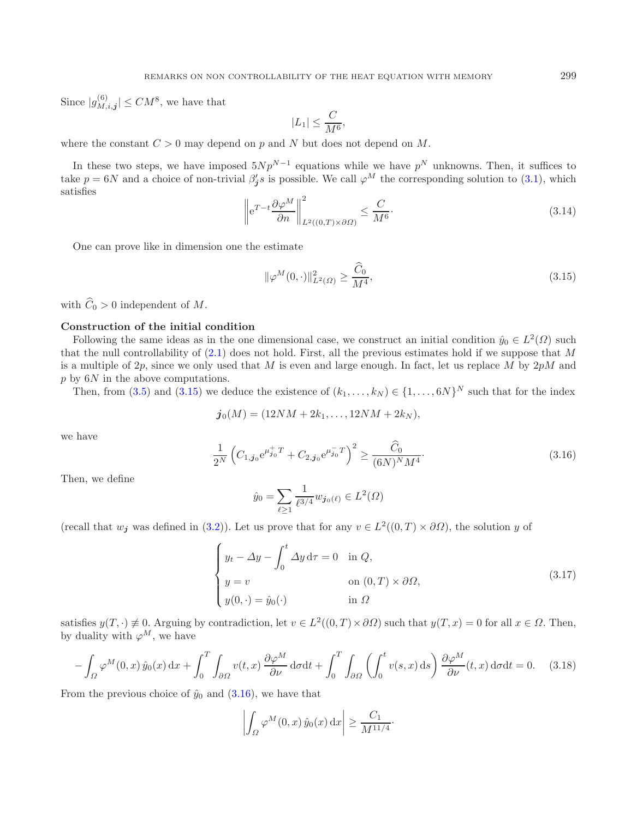<span id="page-11-2"></span>Since  $|g_{M,i,j}^{(6)}| \leq CM^8$ , we have that

<span id="page-11-0"></span>
$$
|L_1| \le \frac{C}{M^6},
$$
  
*N* but does

where the constant  $C > 0$  may depend on p and N but does not depend on M.

In these two steps, we have imposed  $5Np^{N-1}$  equations while we have  $p^N$  unknowns. Then, it suffices to take  $p = 6N$  and a choice of non-trivial  $\beta'_j s$  is possible. We call  $\varphi^M$  the corresponding solution to [\(3.1\)](#page-7-1), which satisfies  $\overline{2}$ 

$$
\left\| e^{T-t} \frac{\partial \varphi^M}{\partial n} \right\|_{L^2((0,T) \times \partial \Omega)}^2 \le \frac{C}{M^6}.
$$
\n(3.14)

One can prove like in dimension one the estimate

$$
\|\varphi^M(0,\cdot)\|_{L^2(\Omega)}^2 \ge \frac{\tilde{C}_0}{M^4},\tag{3.15}
$$

<span id="page-11-1"></span>with  $\widehat{C}_0 > 0$  independent of M.

#### **Construction of the initial condition**

Following the same ideas as in the one dimensional case, we construct an initial condition  $\hat{y}_0 \in L^2(\Omega)$  such that the null controllability of  $(2.1)$  does not hold. First, all the previous estimates hold if we suppose that M is a multiple of 2p, since we only used that M is even and large enough. In fact, let us replace M by  $2pM$  and p by  $6N$  in the above computations. p by  $6N$  in the above computations.<br>Then from  $(3.5)$  and  $(3.15)$  we define

Then, from [\(3.5\)](#page-8-1) and [\(3.15\)](#page-11-0) we deduce the existence of  $(k_1,\ldots,k_N) \in \{1,\ldots,6N\}^N$  such that for the index

$$
\boldsymbol{j_0}(M) = (12NM + 2k_1, \ldots, 12NM + 2k_N),
$$

we have

$$
\frac{1}{2^N} \left( C_{1,j_0} e^{\mu_{j_0}^+ T} + C_{2,j_0} e^{\mu_{j_0}^- T} \right)^2 \ge \frac{\widehat{C}_0}{(6N)^N M^4}.
$$
\n(3.16)

<span id="page-11-3"></span>Then, we define

$$
\hat{y}_0 = \sum_{\ell \ge 1} \frac{1}{\ell^{3/4}} w_{\mathbf{j}_0(\ell)} \in L^2(\Omega)
$$

(recall that  $w_j$  was defined in [\(3.2\)](#page-7-2)). Let us prove that for any  $v \in L^2((0,T) \times \partial \Omega)$ , the solution y of

$$
\begin{cases}\n y_t - \Delta y - \int_0^t \Delta y \, d\tau = 0 & \text{in } Q, \\
 y = v & \text{on } (0, T) \times \partial \Omega, \\
 y(0, \cdot) = \hat{y}_0(\cdot) & \text{in } \Omega\n\end{cases}
$$
\n(3.17)

satisfies  $y(T, \cdot) \neq 0$ . Arguing by contradiction, let  $v \in L^2((0,T) \times \partial \Omega)$  such that  $y(T, x) = 0$  for all  $x \in \Omega$ . Then, by duality with  $\varphi^M$ , we have

$$
-\int_{\Omega} \varphi^M(0,x) \,\hat{y}_0(x) \,dx + \int_0^T \int_{\partial\Omega} v(t,x) \frac{\partial \varphi^M}{\partial \nu} \,d\sigma dt + \int_0^T \int_{\partial\Omega} \left( \int_0^t v(s,x) \,ds \right) \frac{\partial \varphi^M}{\partial \nu}(t,x) \,d\sigma dt = 0. \tag{3.18}
$$

From the previous choice of  $\hat{y}_0$  and  $(3.16)$ , we have that

$$
\left| \int_{\Omega} \varphi^M(0, x) \hat{y}_0(x) \, dx \right| \ge \frac{C_1}{M^{11/4}}.
$$